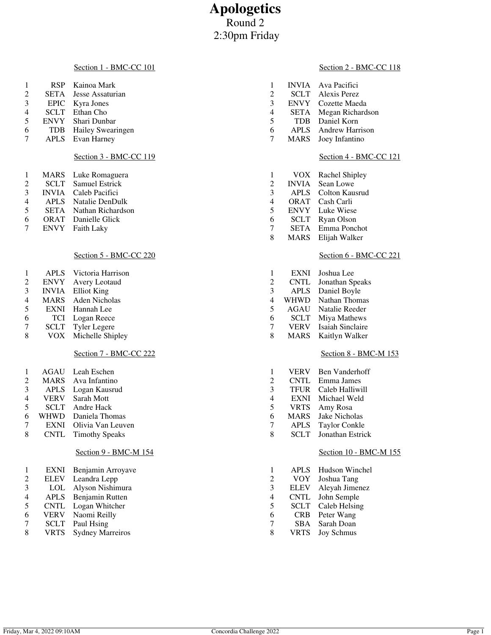# **Apologetics** Round 2 2:30pm Friday

#### Section 1 - BMC-CC 101

| RSP | Kainoa Mark |
|-----|-------------|
|     |             |

- 2 SETA Jesse Assaturian<br>3 EPIC Kyra Jones
- 3 EPIC Kyra Jones<br>4 SCLT Ethan Cho
- 4 SCLT Ethan Cho<br>5 ENVY Shari Dunb ENVY Shari Dunbar
- 
- TDB Hailey Swearingen APLS Evan Harney

## Section 3 - BMC-CC 119

|        | MARS Luke Romaguera        |
|--------|----------------------------|
| 2      | <b>SCLT</b> Samuel Estrick |
| $\sim$ | $M_{\rm H}$                |

- INVIA Caleb Pacifici
- APLS Natalie DenDulk
- SETA Nathan Richardson
- ORAT Danielle Glick
- ENVY Faith Laky

# Section 5 - BMC-CC 220

| <b>APLS</b>  | Victoria Harrison   |
|--------------|---------------------|
| <b>ENVY</b>  | Avery Leotaud       |
| <b>INVIA</b> | <b>Elliot King</b>  |
| <b>MARS</b>  | Aden Nicholas       |
| <b>EXNI</b>  | Hannah Lee          |
| TCI          | Logan Reece         |
| SCLT         | <b>Tyler Legere</b> |
| VOX          | Michelle Shipley    |
|              |                     |

## Section 7 - BMC-CC 222

| $\mathbf{1}$   | AGAU        | Leah Eschen           |
|----------------|-------------|-----------------------|
| 2              | <b>MARS</b> | Ava Infantino         |
| 3              | <b>APLS</b> | Logan Kausrud         |
| $\overline{4}$ | <b>VERV</b> | Sarah Mott            |
| 5              | SCLT        | Andre Hack            |
| 6              | <b>WHWD</b> | Daniela Thomas        |
| 7              | <b>EXNI</b> | Olivia Van Leuven     |
| 8              | <b>CNTL</b> | <b>Timothy Speaks</b> |
|                |             |                       |
|                |             | $C = 1$<br>ו הזמ      |

# Section 9 - BMC-M 154

| 1              | <b>EXNI</b> | Benjamin Arroyave       |
|----------------|-------------|-------------------------|
| $\mathfrak{D}$ | <b>ELEV</b> | Leandra Lepp            |
| 3              | LOL         | Alyson Nishimura        |
| 4              | <b>APLS</b> | Benjamin Rutten         |
| 5              | <b>CNTL</b> | Logan Whitcher          |
| 6              | <b>VERV</b> | Naomi Reilly            |
| 7              | <b>SCLT</b> | Paul Hsing              |
|                | <b>VRTS</b> | <b>Sydney Marreiros</b> |
|                |             |                         |

## Section 2 - BMC-CC 118

| 1 |      | <b>INVIA</b> Ava Pacifici |
|---|------|---------------------------|
| 2 |      | <b>SCLT</b> Alexis Perez  |
| 3 |      | <b>ENVY</b> Cozette Maeda |
| 4 | SETA | Megan Richardson          |
| 5 |      | TDB Daniel Korn           |
| 6 |      | APLS Andrew Harrison      |
| 7 |      | MARS Joey Infantino       |
|   |      |                           |
|   |      | Section 4 - BMC-CC 121    |

| 1 | VOX          | Rachel Shipley |
|---|--------------|----------------|
|   |              |                |
| 2 | <b>INVIA</b> | Sean Lowe      |
| 3 | <b>APLS</b>  | Colton Kausrud |
| 4 | ORAT         | Cash Carli     |
| 5 | <b>ENVY</b>  | Luke Wiese     |
| 6 | <b>SCLT</b>  | Ryan Olson     |
| 7 | <b>SETA</b>  | Emma Ponchot   |
| 8 | <b>MARS</b>  | Elijah Walker  |

## Section 6 - BMC-CC 221

| 1 | <b>EXNI</b> | Joshua Lee       |
|---|-------------|------------------|
| 2 | <b>CNTL</b> | Jonathan Speaks  |
| 3 | <b>APLS</b> | Daniel Boyle     |
| 4 | WHWD        | Nathan Thomas    |
| 5 | AGAU        | Natalie Reeder   |
| 6 | SCLT        | Miya Mathews     |
| 7 | <b>VERV</b> | Isaiah Sinclaire |
| 8 | <b>MARS</b> | Kaitlyn Walker   |

## Section 8 - BMC-M 153

| 1 | <b>VERV</b> | Ben Vanderhoff       |
|---|-------------|----------------------|
| 2 | <b>CNTL</b> | Emma James           |
| 3 | <b>TFUR</b> | Caleb Halliwill      |
| 4 | <b>EXNI</b> | Michael Weld         |
| 5 | <b>VRTS</b> | Amy Rosa             |
| 6 | <b>MARS</b> | Jake Nicholas        |
| 7 | <b>APLS</b> | <b>Taylor Conkle</b> |
| 8 | <b>SCLT</b> | Jonathan Estrick     |

# Section 10 - BMC-M 155

| 1 | <b>APLS</b> | Hudson Winchel    |
|---|-------------|-------------------|
| 2 | <b>VOY</b>  | Joshua Tang       |
| 3 | <b>ELEV</b> | Aleyah Jimenez    |
| 4 | <b>CNTL</b> | John Semple       |
| 5 | SCLT        | Caleb Helsing     |
| 6 | <b>CRB</b>  | Peter Wang        |
| 7 | SBA         | Sarah Doan        |
| 8 | <b>VRTS</b> | <b>Joy Schmus</b> |